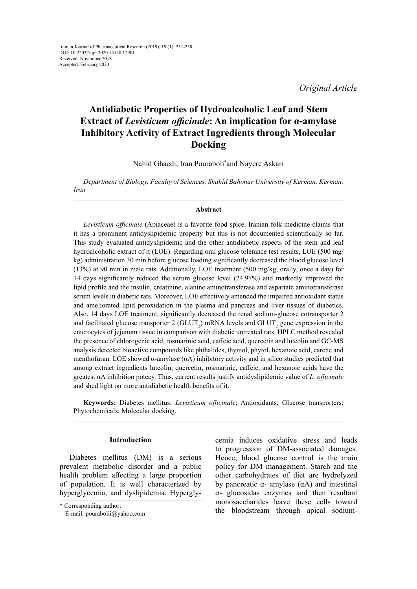*Original Article*

# **Antidiabetic Properties of Hydroalcoholic Leaf and Stem Extract of** *Levisticum officinale***: An implication for α-amylase Inhibitory Activity of Extract Ingredients through Molecular Docking**

Nahid Ghaedi, Iran Pouraboli\* and Nayere Askari

*Department of Biology, Faculty of Sciences, Shahid Bahonar University of Kerman, Kerman, Iran*

### **Abstract**

*Levisticum officinale* (Apiaceae) is a favorite food spice. Iranian folk medicine claims that it has a prominent antidyslipidemic property but this is not documented scientifically so far. This study evaluated antidyslipidemic and the other antidiabetic aspects of the stem and leaf hydroalcoholic extract of it (LOE). Regarding oral glucose tolerance test results, LOE (500 mg/ kg) administration 30 min before glucose loading significantly decreased the blood glucose level (13%) at 90 min in male rats. Additionally, LOE treatment (500 mg/kg, orally, once a day) for 14 days significantly reduced the serum glucose level (24.97%) and markedly improved the lipid profile and the insulin, creatinine, alanine aminotransferase and aspartate aminotransferase serum levels in diabetic rats. Moreover, LOE effectively amended the impaired antioxidant status and ameliorated lipid peroxidation in the plasma and pancreas and liver tissues of diabetics. Also, 14 days LOE treatment, significantly decreased the renal sodium-glucose cotransporter 2 and facilitated glucose transporter 2 (GLUT<sub>2</sub>) mRNA levels and GLUT<sub>2</sub> gene expression in the enterocytes of jejunum tissue in comparison with diabetic untreated rats. HPLC method revealed the presence of chlorogenic acid, rosmarinic acid, caffeic acid, quercetin and luteolin and GC-MS analysis detected bioactive compounds like phthalides, thymol, phytol, hexanoic acid, carene and menthofuran. LOE showed  $\alpha$ -amylase  $(\alpha A)$  inhibitory activity and in silico studies predicted that among extract ingredients luteolin, quercetin, rosmarinic, caffeic, and hexanoic acids have the greatest αΑ inhibition potecy. Thus, current results justify antidyslipidemic value of *L. officinale* and shed light on more antidiabetic health benefits of it.

**Keywords:** Diabetes mellitus; *Levisticum officinale*; Antioxidants; Glucose transporters; Phytochemicals; Molecular docking.

# **Introduction**

Diabetes mellitus (DM) is a serious prevalent metabolic disorder and a public health problem affecting a large proportion of population. It is well characterized by hyperglycemia, and dyslipidemia. Hyperglycemia induces oxidative stress and leads to progression of DM-associated damages. Hence, blood glucose control is the main policy for DM management. Starch and the other carbohydrates of diet are hydrolyzed by pancreatic α- amylase (αA) and intestinal α- glucosidas enzymes and then resultant monosaccharides leave these cells toward the bloodstream through apical sodium-

<sup>\*</sup> Corresponding author: E-mail: [pourabolii@yahoo.com](mailto:pourabolii@yahoo.com)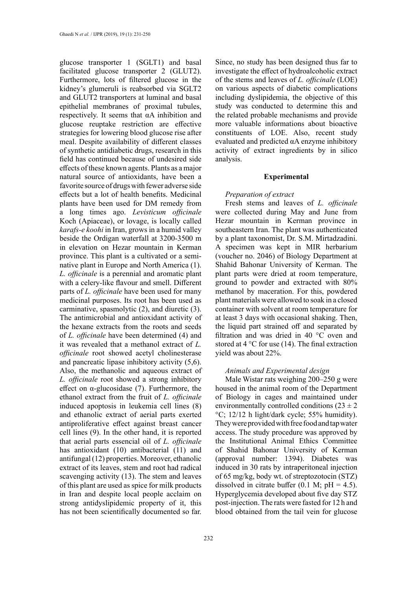glucose transporter 1 (SGLT1) and basal facilitated glucose transporter 2 (GLUT2). Furthermore, lots of filtered glucose in the kidney's glumeruli is reabsorbed via SGLT2 and GLUT2 transporters at luminal and basal epithelial membranes of proximal tubules, respectively. It seems that αA inhibition and glucose reuptake restriction are effective strategies for lowering blood glucose rise after meal. Despite availability of different classes of synthetic antidiabetic drugs, research in this field has continued because of undesired side effects of these known agents. Plants as a major natural source of antioxidants, have been a favorite source of drugs with fewer adverse side effects but a lot of health benefits. Medicinal plants have been used for DM remedy from a long times ago. *Levisticum officinale*  Koch (Apiaceae), or lovage, is locally called *karafs-e koohi* in Iran, grows in a humid valley beside the Ordigan waterfall at 3200-3500 m in elevation on Hezar mountain in Kerman province. This plant is a cultivated or a seminative plant in Europe and North America (1). *L. officinale* is a perennial and aromatic plant with a celery-like flavour and smell. Different parts of *L. officinale* have been used for many medicinal purposes. Its root has been used as carminative, spasmolytic (2), and diuretic (3). The antimicrobial and antioxidant activity of the hexane extracts from the roots and seeds of *L. officinale* have been determined (4) and it was revealed that a methanol extract of *L. officinale* root showed acetyl cholinesterase and pancreatic lipase inhibitory activity (5,6). Also, the methanolic and aqueous extract of *L. officinale* root showed a strong inhibitory effect on  $\alpha$ -glucosidase (7). Furthermore, the ethanol extract from the fruit of *L. officinale* induced apoptosis in leukemia cell lines (8) and ethanolic extract of aerial parts exerted antiproliferative effect against breast cancer cell lines (9). In the other hand, it is reported that aerial parts essencial oil of *L. officinale*  has antioxidant (10) antibacterial (11) and antifungal (12) properties. Moreover, ethanolic extract of its leaves, stem and root had radical scavenging activity (13). The stem and leaves of this plant are used as spice for milk products in Iran and despite local people acclaim on strong antidyslipidemic property of it, this has not been scientifically documented so far.

Since, no study has been designed thus far to investigate the effect of hydroalcoholic extract of the stems and leaves of *L. officinale* (LOE) on various aspects of diabetic complications including dyslipidemia, the objective of this study was conducted to determine this and the related probable mechanisms and provide more valuable informations about bioactive constituents of LOE. Also, recent study evaluated and predicted αA enzyme inhibitory activity of extract ingredients by in silico analysis.

## **Experimental**

## *Preparation of extract*

Fresh stems and leaves of *L. officinale* were collected during May and June from Hezar mountain in Kerman province in southeastern Iran. The plant was authenticated by a plant taxonomist, Dr. S.M. Mirtadzadini. A specimen was kept in MIR herbarium (voucher no. 2046) of Biology Department at Shahid Bahonar University of Kerman. The plant parts were dried at room temperature, ground to powder and extracted with 80% methanol by maceration. For this, powdered plant materials were allowed to soak in a closed container with solvent at room temperature for at least 3 days with occasional shaking. Then, the liquid part strained off and separated by filtration and was dried in 40 °C oven and stored at  $4^{\circ}$ C for use (14). The final extraction yield was about 22%.

#### *Animals and Experimental design*

Male Wistar rats weighing 200–250 g were housed in the animal room of the Department of Biology in cages and maintained under environmentally controlled conditions  $(23 \pm 2)$ °C; 12/12 h light/dark cycle; 55% humidity). They were provided with free food and tap water access. The study procedure was approved by the Institutional Animal Ethics Committee of Shahid Bahonar University of Kerman (approval number: 1394). Diabetes was induced in 30 rats by intraperitoneal injection of 65 mg/kg, body wt. of streptozotocin (STZ) dissolved in citrate buffer (0.1 M;  $pH = 4.5$ ). Hyperglycemia developed about five day STZ post-injection. The rats were fasted for 12 h and blood obtained from the tail vein for glucose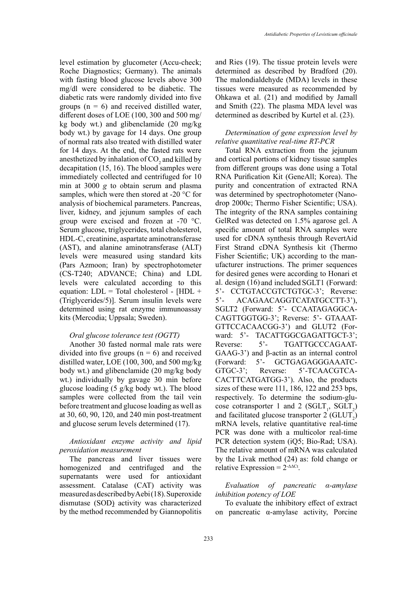level estimation by glucometer (Accu-check; Roche Diagnostics; Germany). The animals with fasting blood glucose levels above 300 mg/dl were considered to be diabetic. The diabetic rats were randomly divided into five groups  $(n = 6)$  and received distilled water, different doses of LOE (100, 300 and 500 mg/ kg body wt.) and glibenclamide (20 mg/kg body wt.) by gavage for 14 days. One group of normal rats also treated with distilled water for 14 days. At the end, the fasted rats were anesthetized by inhalation of  $\mathrm{CO}_2$  and killed by decapitation (15, 16). The blood samples were immediately collected and centrifuged for 10 min at 3000 *g* to obtain serum and plasma samples, which were then stored at -20 °C for analysis of biochemical parameters. Pancreas, liver, kidney, and jejunum samples of each group were excised and frozen at -70 °C. Serum glucose, triglycerides, total cholesterol, HDL-C, creatinine, aspartate aminotransferase (AST), and alanine aminotransferase (ALT) levels were measured using standard kits (Pars Azmoon; Iran) by spectrophotometer (CS-T240; ADVANCE; China) and LDL levels were calculated according to this equation:  $LDL = Total cholesterol - [HDL +$ (Triglycerides/5)]. Serum insulin levels were determined using rat enzyme immunoassay kits (Mercodia; Uppsala; Sweden).

### *Oral glucose tolerance test (OGTT)*

Another 30 fasted normal male rats were divided into five groups  $(n = 6)$  and received distilled water, LOE (100, 300, and 500 mg/kg body wt.) and glibenclamide (20 mg/kg body wt.) individually by gavage 30 min before glucose loading (5 g/kg body wt.). The blood samples were collected from the tail vein before treatment and glucose loading as well as at 30, 60, 90, 120, and 240 min post-treatment and glucose serum levels determined (17).

## *Antioxidant enzyme activity and lipid peroxidation measurement*

The pancreas and liver tissues were homogenized and centrifuged and the supernatants were used for antioxidant assessment. Catalase (CAT) activity was measured as described by Aebi (18). Superoxide dismutase (SOD) activity was characterized by the method recommended by Giannopolitis and Ries (19). The tissue protein levels were determined as described by Bradford (20). The malondialdehyde (MDA) levels in these tissues were measured as recommended by Ohkawa et al. (21) and modified by Jamall and Smith (22). The plasma MDA level was determined as described by Kurtel et al. (23).

## *Determination of gene expression level by relative quantitative real-time RT-PCR*

Total RNA extraction from the jejunum and cortical portions of kidney tissue samples from different groups was done using a Total RNA Purification Kit (GeneAll; Korea). The purity and concentration of extracted RNA was determined by spectrophotometer (Nanodrop 2000c; Thermo Fisher Scientific; USA). The integrity of the RNA samples containing GelRed was detected on 1.5% agarose gel. A specific amount of total RNA samples were used for cDNA synthesis through RevertAid First Strand cDNA Synthesis kit (Thermo Fisher Scientific; UK) according to the manufacturer instructions. The primer sequences for desired genes were according to Honari et al. design (16) and included SGLT1 (Forward: 5'- CCTGTACCGTCTGTGC-3'; Reverse: 5'- ACAGAACAGGTCATATGCCTT-3'), SGLT2 (Forward: 5'- CCAATAGAGGCA-CAGTTGGTGG-3'; Reverse: 5'- GTAAAT-GTTCCACAACGG-3') and GLUT2 (Forward: 5'- TACATTGGCGAGATTGCT-3'; Reverse: 5<sup>2</sup>- TGATTGCCCAGAAT-GAAG-3') and β-actin as an internal control (Forward: 5'- GCTGAGAGGGAAATC-GTGC-3'; Reverse: 5'-TCAACGTCA-CACTTCATGATGG-3'). Also, the products sizes of these were 111, 186, 122 and 253 bps, respectively. To determine the sodium-glucose cotransporter 1 and 2 (SGLT<sub>1</sub>, SGLT<sub>2</sub>) and facilitated glucose transporter  $2 \text{ (GLUT)}_2$ ) mRNA levels, relative quantitative real-time PCR was done with a multicolor real-time PCR detection system (iQ5; Bio-Rad; USA). The relative amount of mRNA was calculated by the Livak method (24) as: fold change or relative Expression =  $2^{\text{-}\Delta\Delta\text{Ct}}$ .

# *Evaluation of pancreatic α-amylase inhibition potency of LOE*

To evaluate the inhibitory effect of extract on pancreatic α-amylase activity, Porcine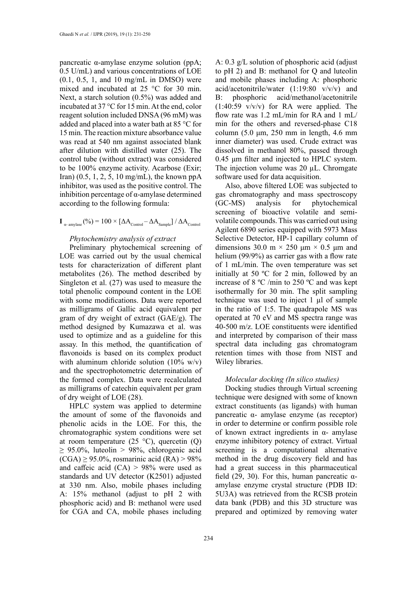pancreatic α-amylase enzyme solution (ppA; 0.5 U/mL) and various concentrations of LOE (0.1, 0.5, 1, and 10 mg/mL in DMSO) were mixed and incubated at 25 °C for 30 min. Next, a starch solution (0.5%) was added and incubated at 37 °C for 15 min. At the end, color reagent solution included DNSA (96 mM) was added and placed into a water bath at 85 °C for 15 min. The reaction mixture absorbance value was read at 540 nm against associated blank after dilution with distilled water (25). The control tube (without extract) was considered to be 100% enzyme activity. Acarbose (Exir; Iran) (0.5, 1, 2, 5, 10 mg/mL), the known ppA inhibitor, was used as the positive control. The inhibition percentage of α-amylase determined according to the following formula:

# $\mathbf{I}_{\text{a-amylase}}$  (%) = 100  $\times$  [ $\Delta A_{\text{Control}} - \Delta A_{\text{Sample}}$ ] /  $\Delta A_{\text{Control}}$

## *Phytochemistry analysis of extract*

Preliminary phytochemical screening of LOE was carried out by the usual chemical tests for characterization of different plant metabolites (26). The method described by Singleton et al. (27) was used to measure the total phenolic compound content in the LOE with some modifications. Data were reported as milligrams of Gallic acid equivalent per gram of dry weight of extract (GAE/g). The method designed by Kumazawa et al. was used to optimize and as a guideline for this assay. In this method, the quantification of flavonoids is based on its complex product with aluminum chloride solution (10% w/v) and the spectrophotometric determination of the formed complex. Data were recalculated as milligrams of catechin equivalent per gram of dry weight of LOE (28).

HPLC system was applied to determine the amount of some of the flavonoids and phenolic acids in the LOE. For this, the chromatographic system conditions were set at room temperature  $(25 \text{ °C})$ , quercetin  $(Q)$  $\geq$  95.0%, luteolin  $>$  98%, chlorogenic acid  $(CGA) \geq 95.0\%$ , rosmarinic acid  $(RA) > 98\%$ and caffeic acid  $(CA) > 98%$  were used as standards and UV detector (K2501) adjusted at 330 nm. Also, mobile phases including A: 15% methanol (adjust to pH 2 with phosphoric acid) and B: methanol were used for CGA and CA, mobile phases including

A: 0.3 g/L solution of phosphoric acid (adjust to pH 2) and B: methanol for Q and luteolin and mobile phases including A: phosphoric acid/acetonitrile/water (1:19:80 v/v/v) and B: phosphoric acid/methanol/acetonitrile (1:40:59 v/v/v) for RA were applied. The flow rate was 1.2 mL/min for RA and 1 mL/ min for the others and reversed-phase C18 column (5.0 μm, 250 mm in length, 4.6 mm inner diameter) was used. Crude extract was dissolved in methanol 80%, passed through 0.45 μm filter and injected to HPLC system. The injection volume was 20 µL. Chromgate software used for data acquisition.

Also, above filtered LOE was subjected to gas chromatography and mass spectroscopy (GC-MS) analysis for phytochemical screening of bioactive volatile and semivolatile compounds. This was carried out using Agilent 6890 series equipped with 5973 Mass Selective Detector, HP-1 capillary column of dimensions 30.0 m  $\times$  250 μm  $\times$  0.5 μm and helium (99/9%) as carrier gas with a flow rate of 1 mL/min. The oven temperature was set initially at 50 ºC for 2 min, followed by an increase of 8 ºC /min to 250 ºC and was kept isothermally for 30 min. The split sampling technique was used to inject  $1 \mu l$  of sample in the ratio of 1:5. The quadrapole MS was operated at 70 eV and MS spectra range was 40-500 m/z. LOE constituents were identified and interpreted by comparison of their mass spectral data including gas chromatogram retention times with those from NIST and Wiley libraries.

## *Molecular docking (In silico studies)*

Docking studies through Virtual screening technique were designed with some of known extract constituents (as ligands) with human pancreatic α- amylase enzyme (as receptor) in order to determine or confirm possible role of known extract ingredients in α- amylase enzyme inhibitory potency of extract. Virtual screening is a computational alternative method in the drug discovery field and has had a great success in this pharmaceutical field (29, 30). For this, human pancreatic  $\alpha$ amylase enzyme crystal structure (PDB ID: 5U3A) was retrieved from the RCSB protein data bank (PDB) and this 3D structure was prepared and optimized by removing water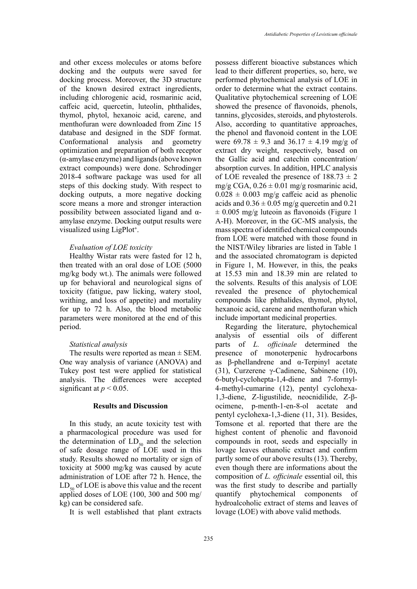and other excess molecules or atoms before docking and the outputs were saved for docking process. Moreover, the 3D structure of the known desired extract ingredients, including chlorogenic acid, rosmarinic acid, caffeic acid, quercetin, luteolin, phthalides, thymol, phytol, hexanoic acid, carene, and menthofuran were downloaded from Zinc 15 database and designed in the SDF format. Conformational analysis and geometry optimization and preparation of both receptor (α-amylase enzyme) and ligands (above known extract compounds) were done. Schrodinger 2018-4 software package was used for all steps of this docking study. With respect to docking outputs, a more negative docking score means a more and stronger interaction possibility between associated ligand and αamylase enzyme. Docking output results were visualized using LigPlot**<sup>+</sup>** .

### *Evaluation of LOE toxicity*

Healthy Wistar rats were fasted for 12 h, then treated with an oral dose of LOE (5000 mg/kg body wt.). The animals were followed up for behavioral and neurological signs of toxicity (fatigue, paw licking, watery stool, writhing, and loss of appetite) and mortality for up to 72 h. Also, the blood metabolic parameters were monitored at the end of this period.

### *Statistical analysis*

The results were reported as mean  $\pm$  SEM. One way analysis of variance (ANOVA) and Tukey post test were applied for statistical analysis. The differences were accepted significant at  $p < 0.05$ .

## **Results and Discussion**

In this study, an acute toxicity test with a pharmacological procedure was used for the determination of  $LD_{50}$  and the selection of safe dosage range of LOE used in this study. Results showed no mortality or sign of toxicity at 5000 mg/kg was caused by acute administration of LOE after 72 h. Hence, the  $LD_{50}$  of LOE is above this value and the recent applied doses of LOE (100, 300 and 500 mg/ kg) can be considered safe.

It is well established that plant extracts

possess different bioactive substances which lead to their different properties, so, here, we performed phytochemical analysis of LOE in order to determine what the extract contains. Qualitative phytochemical screening of LOE showed the presence of flavonoids, phenols, tannins, glycosides, steroids, and phytosterols. Also, according to quantitative approaches, the phenol and flavonoid content in the LOE were 69.78  $\pm$  9.3 and 36.17  $\pm$  4.19 mg/g of extract dry weight, respectively, based on the Gallic acid and catechin concentration/ absorption curves. In addition, HPLC analysis of LOE revealed the presence of  $188.73 \pm 2$ mg/g CGA,  $0.26 \pm 0.01$  mg/g rosmarinic acid,  $0.028 \pm 0.003$  mg/g caffeic acid as phenolic acids and  $0.36 \pm 0.05$  mg/g quercetin and  $0.21$  $\pm$  0.005 mg/g luteoin as flavonoids (Figure 1 A-H). Moreover, in the GC-MS analysis, the mass spectra of identified chemical compounds from LOE were matched with those found in the NIST/Wiley libraries are listed in Table 1 and the associated chromatogram is depicted in Figure 1, M. However, in this, the peaks at 15.53 min and 18.39 min are related to the solvents. Results of this analysis of LOE revealed the presence of phytochemical compounds like phthalides, thymol, phytol, hexanoic acid, carene and menthofuran which include important medicinal properties.

Regarding the literature, phytochemical analysis of essential oils of different parts of *L. officinale* determined the presence of monoterpenic hydrocarbons as β-phellandrene and α-Terpinyl acetate (31), Curzerene γ-Cadinene, Sabinene (10), 6-butyl-cyclohepta-1,4-diene and 7-formyl-4-methyl-cumarine (12), pentyl cyclohexa-1,3-diene, Z-ligustilide, neocnidilide, Z-βocimene, p-menth-1-en-8-ol acetate and pentyl cyclohexa-1,3-diene (11, 31). Besides, Tomsone et al. reported that there are the highest content of phenolic and flavonoid compounds in root, seeds and especially in lovage leaves ethanolic extract and confirm partly some of our above results (13). Thereby, even though there are informations about the composition of *L. officinale* essential oil, this was the first study to describe and partially quantify phytochemical components of hydroalcoholic extract of stems and leaves of lovage (LOE) with above valid methods.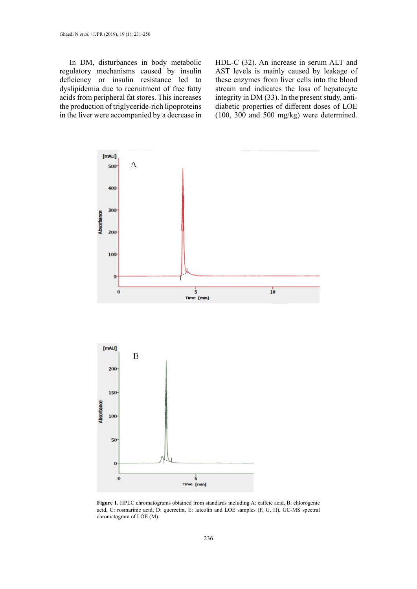In DM, disturbances in body metabolic regulatory mechanisms caused by insulin deficiency or insulin resistance led to dyslipidemia due to recruitment of free fatty acids from peripheral fat stores. This increases the production of triglyceride-rich lipoproteins in the liver were accompanied by a decrease in HDL-C (32). An increase in serum ALT and AST levels is mainly caused by leakage of these enzymes from liver cells into the blood stream and indicates the loss of hepatocyte integrity in DM (33). In the present study, antidiabetic properties of different doses of LOE (100, 300 and 500 mg/kg) were determined.



Figure 1. HPLC chromatograms obtained from standards including A: caffeic acid, B: chlorogenic acid, C: rosmarinic acid, D: quercetin, E: luteolin and LOE samples (F, G, H)**.** GC-MS spectral chromatogram of LOE (M).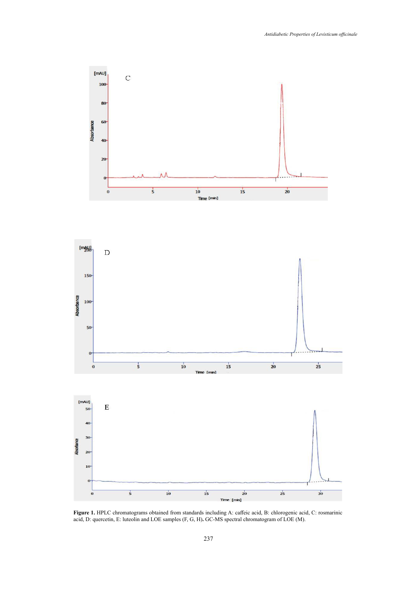



**Figure 1.** HPLC chromatograms obtained from standards including A: caffeic acid, B: chlorogenic acid, C: rosmarinic acid, D: quercetin, E: luteolin and LOE samples (F, G, H)**.** GC-MS spectral chromatogram of LOE (M).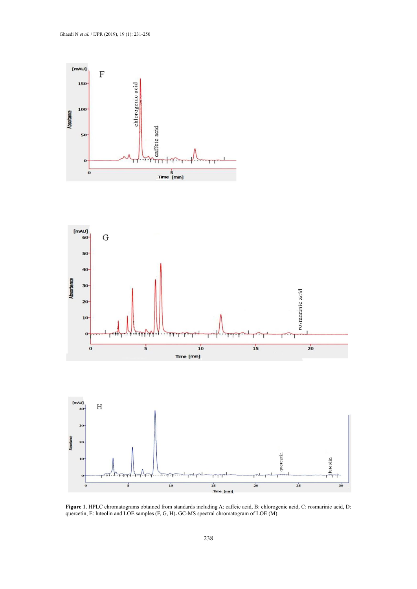



**Figure 1.** HPLC chromatograms obtained from standards including A: caffeic acid, B: chlorogenic acid, C: rosmarinic acid, D: quercetin, E: luteolin and LOE samples (F, G, H)**.** GC-MS spectral chromatogram of LOE (M).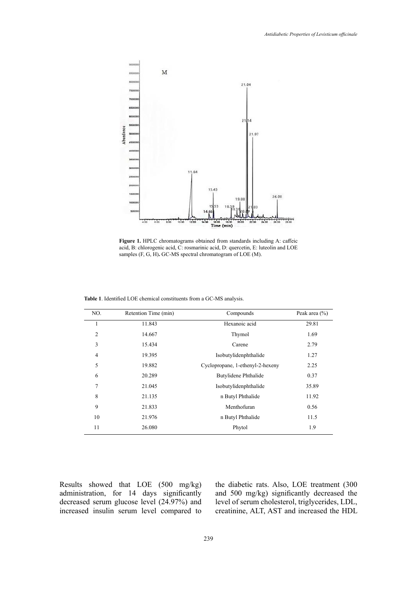

**Figure 1.** HPLC chromatograms obtained from standards including A: caffeic acid, B: chlorogenic acid, C: rosmarinic acid, D: quercetin, E: luteolin and LOE samples (F, G, H)**.** GC-MS spectral chromatogram of LOE (M).

| NO.            | Retention Time (min) | Compounds                        | Peak area $(\% )$ |  |  |
|----------------|----------------------|----------------------------------|-------------------|--|--|
| 1              | 11.843               | Hexanoic acid                    | 29.81             |  |  |
| $\overline{2}$ | 14.667               | Thymol                           | 1.69              |  |  |
| 3              | 15.434               | Carene                           | 2.79              |  |  |
| $\overline{4}$ | 19.395               | Isobutylidenphthalide            | 1.27              |  |  |
| 5              | 19.882               | Cyclopropane, 1-ethenyl-2-hexeny | 2.25              |  |  |
| 6              | 20.289               | Butylidene Phthalide             | 0.37              |  |  |
| 7              | 21.045               | Isobutylidenphthalide            | 35.89             |  |  |
| 8              | 21.135               | n Butyl Phthalide                | 11.92             |  |  |
| 9              | 21.833               | Menthofuran                      | 0.56              |  |  |
| 10             | 21.976               | n Butyl Phthalide                | 11.5              |  |  |
| 11             | 26.080               | Phytol                           | 1.9               |  |  |

Table 1. Identified LOE chemical constituents from a GC-MS analysis.

Results showed that LOE (500 mg/kg) administration, for 14 days significantly decreased serum glucose level (24.97%) and increased insulin serum level compared to the diabetic rats. Also, LOE treatment (300 and 500 mg/kg) significantly decreased the level of serum cholesterol, triglycerides, LDL, creatinine, ALT, AST and increased the HDL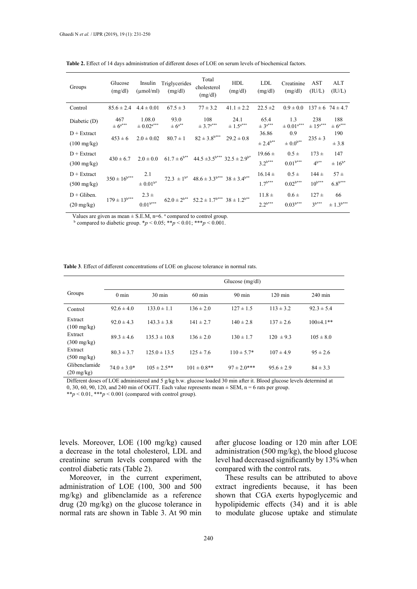| Groups                | Glucose<br>(mg/dl)         | $(\mu \text{mol/ml})$                  | Insulin Triglycerides<br>(mg/dl) | Total<br>cholesterol<br>(mg/dl)                             | <b>HDL</b><br>(mg/dl)    | <b>LDL</b><br>(mg/dl)             | Creatinine<br>(mg/dl) | AST<br>(IU/L)          | ALT<br>(IU/L)            |
|-----------------------|----------------------------|----------------------------------------|----------------------------------|-------------------------------------------------------------|--------------------------|-----------------------------------|-----------------------|------------------------|--------------------------|
| Control               | $85.6 \pm 2.4$             | $4.4 \pm 0.01$                         | $67.5 \pm 3$                     | $77 \pm 3.2$                                                | $41.1 \pm 2.2$           | $22.5 \pm 2$                      | $0.9 \pm 0.0$         |                        | $137 \pm 6$ 74 $\pm$ 4.7 |
| Diabetic (D)          | 467<br>$\pm 6^{a***}$      | 1.08.0<br>$\pm$ $0.02^{\mathrm{a***}}$ | 93.0<br>$\pm 6^{a**}$            | 108<br>$\pm 3.7^{***}$                                      | 24.1<br>$\pm 1.5^{a***}$ | 65.4<br>$\pm$ $3^{\mathrm{a***}}$ | 1.3<br>$\pm$ 0.01***  | 238<br>$\pm 15^{a***}$ | 188<br>$\pm 6^{a***}$    |
| $D + Extract$         | $453 \pm 6$                | $2.0 \pm 0.02$                         | $80.7 \pm 1$                     | $82 \pm 3.8^{\rm b***}$                                     | $29.2 \pm 0.8$           | 36.86                             | 0.9                   | $235 \pm 3$            | 190                      |
| $(100 \text{ mg/kg})$ |                            |                                        |                                  |                                                             |                          | $\pm 2.4^{b**}$                   | $\pm 0.0^{b**}$       |                        | ± 3.8                    |
| $D + Extract$         | $430 \pm 6.7$              | $2.0 \pm 0.0$                          | $61.7 \pm 6^{b**}$               | $44.5 \pm 3.5$ <sup>b***</sup> $32.5 \pm 2.9$ <sup>b*</sup> |                          | $19.66 \pm$                       | $0.5 \pm$             | $173 +$                | 147                      |
| $(300 \text{ mg/kg})$ |                            |                                        |                                  |                                                             |                          | $3.2^{b***}$                      | $0.01^{b***}$         | $4^{b**}$              | $\pm 16^{b*}$            |
| $D + Extract$         | $350\pm16^{\mathrm{b***}}$ | 2.1                                    |                                  | $72.3 \pm 1^{b*}$ $48.6 \pm 3.3^{b***}$ $38 \pm 3.4^{b**}$  |                          | $16.14 \pm$                       | $0.5 \pm$             | $144 \pm$              | $57 \pm$                 |
| $(500 \text{ mg/kg})$ |                            | $\pm$ 0.01 $^{\rm b*}$                 |                                  |                                                             |                          | $1.7^{b***}$                      | $0.02^{b***}$         | $10^{b***}$            | $6.8^{b***}$             |
| $D +$ Gliben.         | $179 \pm 13^{b***}$        | $2.3 \pm$                              |                                  |                                                             |                          | $11.8 \pm$                        | $0.6 \pm$             | $127 +$                | 66                       |
| $(20 \text{ mg/kg})$  |                            | $0.01^{\rm b***}$                      |                                  | $62.0 \pm 2^{b**}$ $52.2 \pm 1.7^{b***}$ $38 \pm 1.2^{b**}$ |                          | $2.2^{b***}$                      | $0.03^{b***}$         | $3^{b***}$             | $\pm 1.3^{b***}$         |

Table 2. Effect of 14 days administration of different doses of LOE on serum levels of biochemical factors.

Values are given as mean  $\pm$  S.E.M, n=6. <sup>a</sup> compared to control group.

<sup>b</sup> compared to diabetic group.  $* p < 0.05$ ;  $** p < 0.01$ ;  $*** p < 0.001$ .

**Table 3**. Effect of different concentrations of LOE on glucose tolerance in normal rats. **Table 3**. Effect of different concentrations of LOE on glucose tolerance in normal rats.

|                                       | Glucose $(mg/dl)$ |                  |                  |                  |                   |                   |  |  |  |
|---------------------------------------|-------------------|------------------|------------------|------------------|-------------------|-------------------|--|--|--|
| Groups                                | $0 \text{ min}$   | $30 \text{ min}$ | $60 \text{ min}$ | $90 \text{ min}$ | $120 \text{ min}$ | $240 \text{ min}$ |  |  |  |
| Control                               | $92.6 \pm 4.0$    | $133.0 \pm 1.1$  | $136 \pm 2.0$    | $127 \pm 1.5$    | $113 \pm 3.2$     | $92.3 \pm 5.4$    |  |  |  |
| Extract<br>$(100 \text{ mg/kg})$      | $92.0 \pm 4.3$    | $143.3 \pm 3.8$  | $141 \pm 2.7$    | $140 \pm 2.8$    | $137 \pm 2.6$     | $100\pm4.1**$     |  |  |  |
| Extract<br>$(300 \text{ mg/kg})$      | $89.3 \pm 4.6$    | $135.3 \pm 10.8$ | $136 \pm 2.0$    | $130 \pm 1.7$    | $120 \pm 9.3$     | $105 \pm 8.0$     |  |  |  |
| Extract<br>$(500 \text{ mg/kg})$      | $80.3 \pm 3.7$    | $125.0 \pm 13.5$ | $125 \pm 7.6$    | $110 \pm 5.7^*$  | $107 \pm 4.9$     | $95 \pm 2.6$      |  |  |  |
| Glibenclamide<br>$(20 \text{ mg/kg})$ | $74.0 \pm 3.0^*$  | $105 \pm 2.5$ ** | $101 \pm 0.8$ ** | $97 \pm 2.0***$  | $95.6 \pm 2.9$    | $84 \pm 3.3$      |  |  |  |

Different doses of LOE administered and 5 g/kg b.w. glucose loaded 30 min after it. Blood glucose levels determind at 0, 30, 60, 90, 120, and 240 min of OGTT. Each value represents mean  $\pm$  SEM, n = 6 rats per group.

\*\**p* < 0.01, \*\*\**p* < 0.001 (compared with control group).

levels. Moreover, LOE (100 mg/kg) caused a decrease in the total cholesterol, LDL and creatinine serum levels compared with the control diabetic rats (Table 2).

Moreover, in the current experiment, administration of LOE (100, 300 and 500 mg/kg) and glibenclamide as a reference drug (20 mg/kg) on the glucose tolerance in normal rats are shown in Table 3. At 90 min after glucose loading or 120 min after LOE administration (500 mg/kg), the blood glucose level had decreased significantly by 13% when compared with the control rats.

These results can be attributed to above extract ingredients because, it has been shown that CGA exerts hypoglycemic and hypolipidemic effects (34) and it is able to modulate glucose uptake and stimulate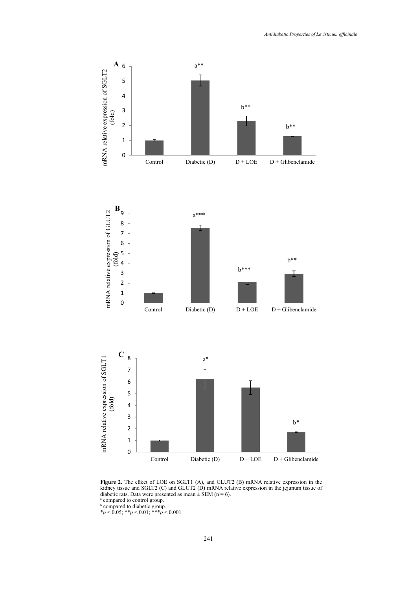

**Figure 2.** The effect of LOE on SGLT1 (A), and GLUT2 (B) mRNA relative expression in the kidney tissue and SGLT2 (C) and GLUT2 (D) mRNA relative expression in the jejunum tissue of diabetic rats. Data were presented as mean  $\pm$  SEM (n = 6).<br><sup>a</sup> compared to control group.<br><sup>b</sup> compared to diabetic group.

\**p* < 0.05; \*\**p* < 0.01; \*\*\**p* < 0.001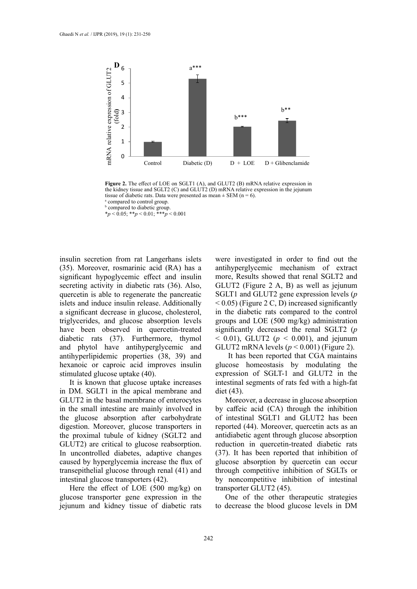

tissue of diabetic rats. Data were presented as mean  $\pm$  SEM (n = 6).<br><sup>a</sup> compared to control group. **Figure 2.** The effect of LOE on SGLT1 (A), and GLUT2 (B) mRNA relative expression in the kidney tissue and SGLT2 (C) and GLUT2 (D) mRNA relative expression in the jejunum a compared to control group. **b** compared to diabetic group.

insulin secretion from rat Langerhans islets (35). Moreover, rosmarinic acid (RA) has a  $isignificant$  hypoglycemic effect and insulin secreting activity in diabetic rats (36). Also, quercetin is able to regenerate the pancreatic islets and induce insulin release. Additionally a significant decrease in glucose, cholesterol, triglycerides, and glucose absorption levels have been observed in quercetin-treated diabetic rats (37). Furthermore, thymol and phytol have antihyperglycemic and antihyperlipidemic properties (38, 39) and hexanoic or caproic acid improves insulin stimulated glucose uptake (40).

It is known that glucose uptake increases in DM. SGLT1 in the apical membrane and GLUT2 in the basal membrane of enterocytes in the small intestine are mainly involved in the glucose absorption after carbohydrate digestion. Moreover, glucose transporters in the proximal tubule of kidney (SGLT2 and GLUT2) are critical to glucose reabsorption. In uncontrolled diabetes, adaptive changes caused by hyperglycemia increase the flux of transepithelial glucose through renal (41) and intestinal glucose transporters (42).

Here the effect of LOE (500 mg/kg) on glucose transporter gene expression in the jejunum and kidney tissue of diabetic rats

were investigated in order to find out the antihyperglycemic mechanism of extract more, Results showed that renal SGLT2 and GLUT2 (Figure 2 A, B) as well as jejunum SGLT1 and GLUT2 gene expression levels (*p*  $< 0.05$ ) (Figure 2 C, D) increased significantly in the diabetic rats compared to the control groups and LOE (500 mg/kg) administration significantly decreased the renal SGLT2 (*p*  $<$  0.01), GLUT2 ( $p <$  0.001), and jejunum GLUT2 mRNA levels  $(p < 0.001)$  (Figure 2).

 It has been reported that CGA maintains glucose homeostasis by modulating the expression of SGLT-1 and GLUT2 in the intestinal segments of rats fed with a high-fat diet (43).

Moreover, a decrease in glucose absorption by caffeic acid (CA) through the inhibition of intestinal SGLT1 and GLUT2 has been reported (44). Moreover, quercetin acts as an antidiabetic agent through glucose absorption reduction in quercetin-treated diabetic rats (37). It has been reported that inhibition of glucose absorption by quercetin can occur through competitive inhibition of SGLTs or by noncompetitive inhibition of intestinal transporter GLUT2 (45).

One of the other therapeutic strategies to decrease the blood glucose levels in DM

 $p < 0.05;$  \*\* $p < 0.01;$  \*\*\* $p < 0.001$ \**p* < 0.05; \*\**p* < 0.01; \*\*\**p* < 0.001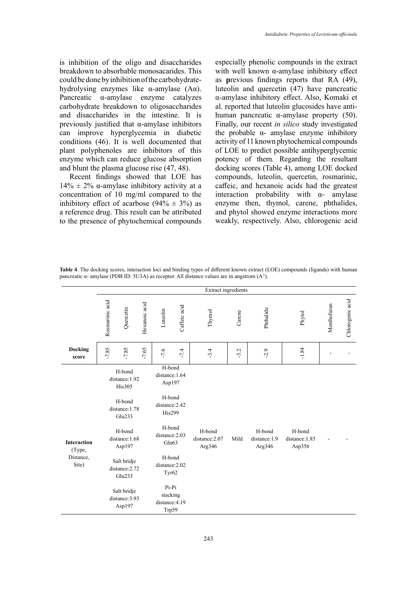is inhibition of the oligo and disaccharides breakdown to absorbable monosacarides. This could be done by inhibition of the carbohydratehydrolysing enzymes like α-amylase (Αα). Pancreatic α-amylase enzyme catalyzes carbohydrate breakdown to oligosaccharides and disaccharides in the intestine. It is previously justified that α-amylase inhibitors can improve hyperglycemia in diabetic conditions (46). It is well documented that plant polyphenoles are inhibitors of this enzyme which can reduce glucose absorption and blunt the plasma glucose rise (47, 48).

Recent findings showed that LOE has  $14\% \pm 2\%$  α-amylase inhibitory activity at a concentration of 10 mg/ml compared to the inhibitory effect of acarbose (94%  $\pm$  3%) as a reference drug. This result can be attributed to the presence of phytochemical compounds especially phenolic compounds in the extract with well known α-amylase inhibitory effect as **p**revious findings reports that RA (49), luteolin and quercetin (47) have pancreatic α-amylase inhibitory effect. Also, Komaki et al. reported that luteolin glucosides have antihuman pancreatic α-amylase property (50). Finally, our recent *in silico* study investigated the probable α- amylase enzyme inhibitory activity of 11 known phytochemical compounds of LOE to predict possible antihyperglycemic potency of them. Regarding the resultant docking scores (Table 4), among LOE docked compounds, luteolin, quercetin, rosmarinic, caffeic, and hexanoic acids had the greatest interaction probability with  $\alpha$ - amylase enzyme then, thymol, carene, phthalides, and phytol showed enzyme interactions more weakly, respectively. Also, chlorogenic acid

Table 4. The docking scores, interaction loci and binding types of different known extract (LOE) compounds (ligands) with human amylase (PDB ID: 5U3A) as receptor. All distance values are in angstrom (A°). pancreatic α- amylase (PDB ID: 5U3A) as receptor. All distance values are in angstrom (A°).

|                              | Extract ingredients                                                            |                                         |                                                                                 |                                                |                                    |        |                                  |                                    |         |             |                  |
|------------------------------|--------------------------------------------------------------------------------|-----------------------------------------|---------------------------------------------------------------------------------|------------------------------------------------|------------------------------------|--------|----------------------------------|------------------------------------|---------|-------------|------------------|
|                              | Rosmarinic acid                                                                | Quercetin                               | Hexanoic acid                                                                   | Luteolin                                       | Caffeic acid                       | Thymol | Carene                           | Phthalide                          | Phytol  | Menthofuran | Chlorogenic acid |
| Docking<br>score             | $-7.85$                                                                        | $-7.85$                                 | $-7.65$                                                                         | $-7.6$                                         | $-7.4$                             | $-3.4$ | $-3.2$                           | $-2.9$                             | $-1.84$ | f,          | $\mathbf{L}$     |
|                              | H-bond<br>distance: 1.92<br><b>His305</b><br>H-bond<br>distance:1.78<br>Glu233 |                                         | H-bond<br>distance: 1.64<br>Asp197<br>H-bond<br>distance: 2.42<br><b>His299</b> |                                                |                                    |        |                                  |                                    |         |             |                  |
| <b>Interaction</b><br>(Type, | H-bond<br>distance: 1.68<br>Asp197                                             |                                         | H-bond<br>distance: 2.03<br>Gln63                                               |                                                | H-bond<br>distance: 2.07<br>Arg346 | Mild   | H-bond<br>distance:1.9<br>Arg346 | H-bond<br>distance: 1.85<br>Asp356 |         |             |                  |
| Distance,<br>Site)           | Salt bridje<br>distance: 2.72<br>Glu233                                        |                                         | H-bond<br>distance: 2.02<br>Tyr62                                               |                                                |                                    |        |                                  |                                    |         |             |                  |
|                              |                                                                                | Salt bridje<br>distance: 3.93<br>Asp197 |                                                                                 | $Pi-Pi$<br>stacking<br>distance: 4.19<br>Trp59 |                                    |        |                                  |                                    |         |             |                  |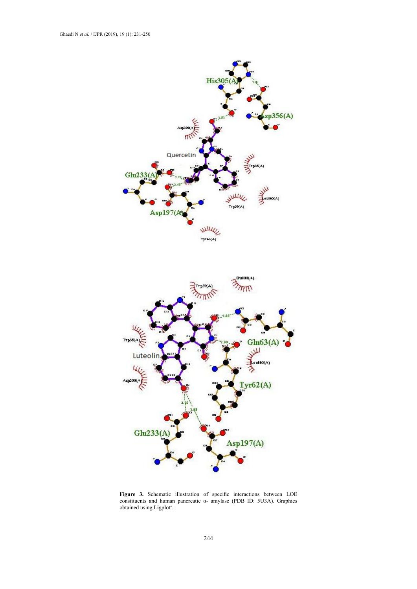

**Figure 3.** Schematic illustration of specific interactions between LOE constituents and human pancreatic α- amylase (PDB ID: 5U3A). Graphics obtained using Ligplot**<sup>+</sup>** . **.**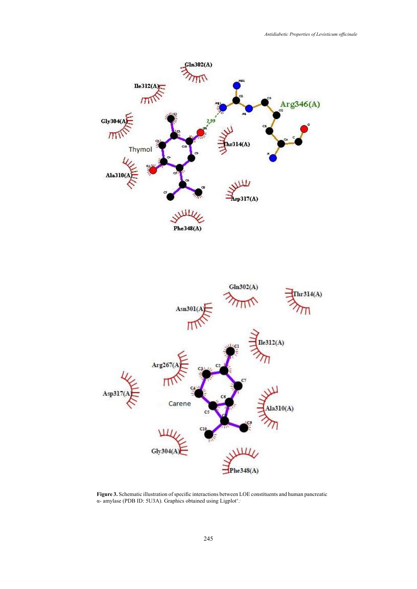



**Figure 3.** Schematic illustration of specific interactions between LOE constituents and human pancreatic α- amylase (PDB ID: 5U3A). Graphics obtained using Ligplot**<sup>+</sup>** . **.**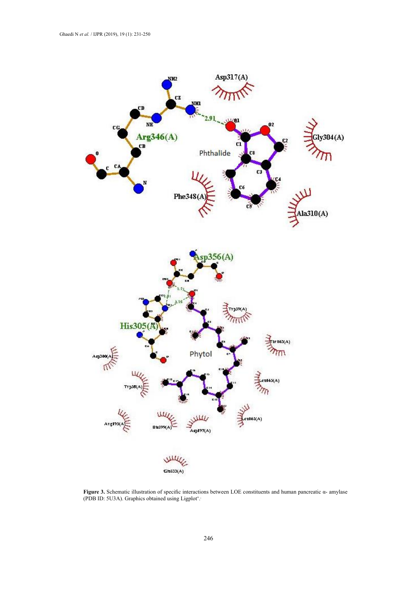

**Figure 3.** Schematic illustration of specific interactions between LOE constituents and human pancreatic α- amylase (PDB ID: 5U3A). Graphics obtained using Ligplot**<sup>+</sup>** . **.**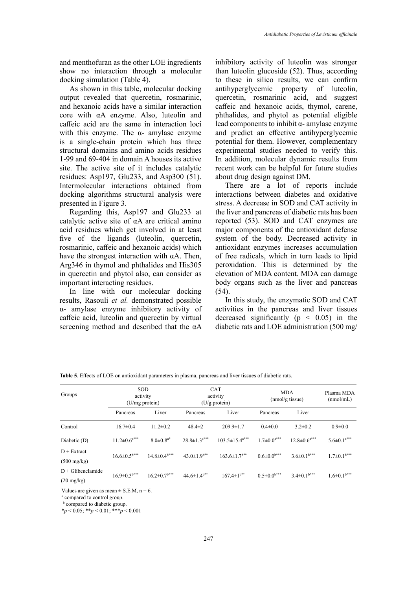and menthofuran as the other LOE ingredients show no interaction through a molecular docking simulation (Table 4).

As shown in this table, molecular docking output revealed that quercetin, rosmarinic, and hexanoic acids have a similar interaction core with αA enzyme. Also, luteolin and caffeic acid are the same in interaction loci with this enzyme. The  $\alpha$ - amylase enzyme is a single-chain protein which has three structural domains and amino acids residues 1-99 and 69-404 in domain A houses its active site. The active site of it includes catalytic residues: Asp197, Glu233, and Asp300 (51). Intermolecular interactions obtained from docking algorithms structural analysis were presented in Figure 3.

Regarding this, Asp197 and Glu233 at catalytic active site of αA are critical amino acid residues which get involved in at least five of the ligands (luteolin, quercetin, rosmarinic, caffeic and hexanoic acids) which have the strongest interaction with  $\alpha$ A. Then, Arg346 in thymol and phthalides and His305 in quercetin and phytol also, can consider as important interacting residues.

In line with our molecular docking results, Rasouli *et al.* demonstrated possible α- amylase enzyme inhibitory activity of caffeic acid, luteolin and quercetin by virtual screening method and described that the αA

inhibitory activity of luteolin was stronger than luteolin glucoside (52). Thus, according to these in silico results, we can confirm antihyperglycemic property of luteolin, quercetin, rosmarinic acid, and suggest caffeic and hexanoic acids, thymol, carene, phthalides, and phytol as potential eligible lead components to inhibit  $\alpha$ - amylase enzyme and predict an effective antihyperglycemic potential for them. However, complementary experimental studies needed to verify this. In addition, molecular dynamic results from recent work can be helpful for future studies about drug design against DM.

There are a lot of reports include interactions between diabetes and oxidative stress. A decrease in SOD and CAT activity in the liver and pancreas of diabetic rats has been reported (53). SOD and CAT enzymes are major components of the antioxidant defense system of the body. Decreased activity in antioxidant enzymes increases accumulation of free radicals, which in turn leads to lipid peroxidation. This is determined by the elevation of MDA content. MDA can damage body organs such as the liver and pancreas (54).

In this study, the enzymatic SOD and CAT activities in the pancreas and liver tissues decreased significantly ( $p \leq 0.05$ ) in the diabetic rats and LOE administration (500 mg/

| Groups                |                                | <b>SOD</b><br>activity<br>(U/mg protein) |                                | <b>CAT</b><br>activity<br>$(U/g$ protein) | <b>MDA</b><br>(mmol/gtissue)  | Plasma MDA<br>(mmol/mL)        |                               |
|-----------------------|--------------------------------|------------------------------------------|--------------------------------|-------------------------------------------|-------------------------------|--------------------------------|-------------------------------|
|                       | Pancreas                       | Liver                                    | Pancreas                       | Liver                                     | Pancreas                      | Liver                          |                               |
| Control               | $16.7 \pm 0.4$                 | $11.2 \pm 0.2$                           | $48.4 \pm 2$                   | $209.9 \pm 1.7$                           | $0.4 \pm 0.0$                 | $3.2 \pm 0.2$                  | $0.9 \pm 0.0$                 |
| Diabetic (D)          | $11.2 \pm 0.6$ <sup>a***</sup> | $8.0 \pm 0.8$ <sup>a*</sup>              | $28.8 \pm 1.3$ <sup>a***</sup> | $103.5 \pm 15.4$ <sup>a***</sup>          | $1.7 \pm 0.0^{a***}$          | $12.8 \pm 0.6$ <sup>a***</sup> | $5.6 \pm 0.1$ <sup>a***</sup> |
| $D + Extract$         | $16.6 \pm 0.5$ <sup>b***</sup> | $14.8 \pm 0.4$ <sup>b***</sup>           | $43.0 \pm 1.9$ <sup>b**</sup>  | $163.6 \pm 1.7$ <sup>b**</sup>            | $0.6 \pm 0.0^{\rm b***}$      | $3.6\pm0.1$ <sup>b***</sup>    | $1.7 \pm 0.1$ <sup>b***</sup> |
| $(500 \text{ mg/kg})$ |                                |                                          |                                |                                           |                               |                                |                               |
| $D + G$ libenclamide  |                                |                                          | $44.6 \pm 1.4$ <sup>b**</sup>  |                                           | $0.5 \pm 0.0$ <sup>b***</sup> | $3.4 \pm 0.1$ <sup>b***</sup>  |                               |
| $(20 \text{ mg/kg})$  |                                |                                          |                                |                                           |                               |                                |                               |
|                       | $16.9 \pm 0.3$ <sup>b***</sup> | $16.2 \pm 0.7$ <sup>b***</sup>           |                                | $167.4 \pm 1^{b**}$                       |                               |                                | $1.6 \pm 0.1$ <sup>b***</sup> |

**Table 5**. Effects of LOE on antioxidant parameters in plasma, pancreas and liver tissues of diabetic rats.

Values are given as mean  $\pm$  S.E.M, n = 6.

<sup>a</sup> compared to control group.

**b** compared to diabetic group.

\**p* < 0.05; \*\**p* < 0.01; \*\*\**p* < 0.001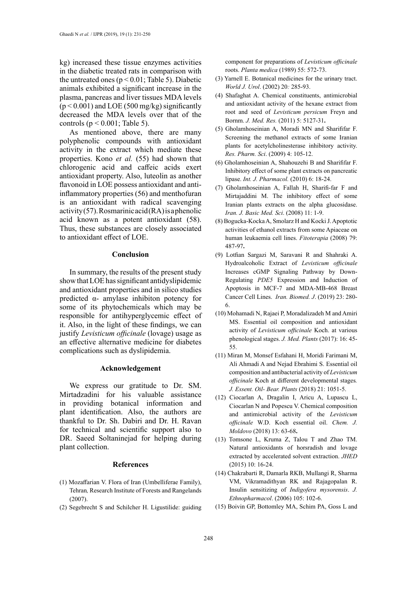kg) increased these tissue enzymes activities in the diabetic treated rats in comparison with the untreated ones ( $p < 0.01$ ; Table 5). Diabetic animals exhibited a significant increase in the plasma, pancreas and liver tissues MDA levels  $(p < 0.001)$  and LOE (500 mg/kg) significantly decreased the MDA levels over that of the controls ( $p < 0.001$ ; Table 5).

As mentioned above, there are many polyphenolic compounds with antioxidant activity in the extract which mediate these properties. Kono *et al.* (55) had shown that chlorogenic acid and caffeic acids exert antioxidant property. Also, luteolin as another flavonoid in LOE possess antioxidant and antiinflammatory properties (56) and menthofuran is an antioxidant with radical scavenging  $activity (57)$ . Rosmarinic acid (RA) is a phenolic acid known as a potent antioxidant (58). Thus, these substances are closely associated to antioxidant effect of LOE.

### **Conclusion**

In summary, the results of the present study show that LOE has significant antidyslipidemic and antioxidant properties and in silico studies predicted α- amylase inhibiton potency for some of its phytochemicals which may be responsible for antihyperglycemic effect of it. Also, in the light of these findings, we can justify *Levisticum officinale* (lovage) usage as an effective alternative medicine for diabetes complications such as dyslipidemia.

### **Acknowledgement**

We express our gratitude to Dr. SM. Mirtadzadini for his valuable assistance in providing botanical information and plant identification. Also, the authors are thankful to Dr. Sh. Dabiri and Dr. H. Ravan for technical and scientific support also to DR. Saeed Soltaninejad for helping during plant collection.

#### **References**

- (1) Mozaffarian V. Flora of Iran (Umbelliferae Family), Tehran*,* Research Institute of Forests and Rangelands (2007).
- (2) Segebrecht S and Schilcher H. Ligustilide: guiding

component for preparations of *Levisticum officinale* roots. *Planta medica* (1989) 55: 572-73.

- (3) Yarnell E. Botanical medicines for the urinary tract. *World J. Urol*. (2002) 20*:* 285-93.
- (4) Shafaghat A. Chemical constituents, antimicrobial and antioxidant activity of the hexane extract from root and seed of *Levisticum persicum* Freyn and Bornm. *J. Med. Res.* (2011) 5: 5127-31**.**
- (5) Gholamhoseinian A, Moradi MN and Sharififar F. Screening the methanol extracts of some Iranian plants for acetylcholinesterase inhibitory activity. *Res. Pharm. Sci*. (2009) 4: 105-12.
- (6) Gholamhoseinian A, Shahouzehi B and Sharififar F. Inhibitory effect of some plant extracts on pancreatic lipase. *Int. J. Pharmacol.* (2010) 6: 18-24.
- (7) Gholamhoseinian A, Fallah H, Sharifi-far F and Mirtajaddini M. The inhibitory effect of some Iranian plants extracts on the alpha glucosidase. *Iran. J. Basic Med. Sci*. (2008) 11: 1-9.
- (8) Bogucka-Kocka A, Smolarz H and Kocki J. Apoptotic activities of ethanol extracts from some Apiaceae on human leukaemia cell lines. *Fitoterapia* (2008) 79: 487-97**.**
- (9) Lotfian Sargazi M, Saravani R and Shahraki A. Hydroalcoholic Extract of *Levisticum officinale*  Increases cGMP Signaling Pathway by Down-Regulating *PDE5* Expression and Induction of Apoptosis in MCF-7 and MDA-MB-468 Breast Cancer Cell Lines. *Iran. Biomed. J*. (2019) 23: 280- 6.
- (10) Mohamadi N, Rajaei P, Moradalizadeh M and Amiri MS. Essential oil composition and antioxidant activity of *Levisticum officinale* Koch. at various phenological stages. *J. Med. Plants* (2017): 16: 45- 55.
- (11) Miran M, Monsef Esfahani H, Moridi Farimani M, Ali Ahmadi A and Nejad Ebrahimi S. Essential oil composition and antibacterial activity of *Levisticum officinale* Koch at different developmental stages*. J. Essent. Oil- Bear. Plants* (2018) 21: 1051-5.
- (12) Ciocarlan A, Dragalin I, Aricu A, Lupascu L, Ciocarlan N and Popescu V. Chemical composition and antimicrobial activity of the *Levisticum officinale* W.D. Koch essential oil. *Chem. J. Moldovo* (2018) 13: 63-68**.**
- (13) Tomsone L, Kruma Z, Talou T and Zhao TM. Natural antioxidants of horsradish and lovage extracted by accelerated solvent extraction. *JHED* (2015) 10: 16-24.
- (14) Chakrabarti R, Damarla RKB, Mullangi R, Sharma VM, Vikramadithyan RK and Rajagopalan R. Insulin sensitizing of *Indigofera mysorensis*. *J. Ethnopharmacol*. (2006) 105: 102-6.
- (15) Boivin GP, Bottomley MA, Schim PA, Goss L and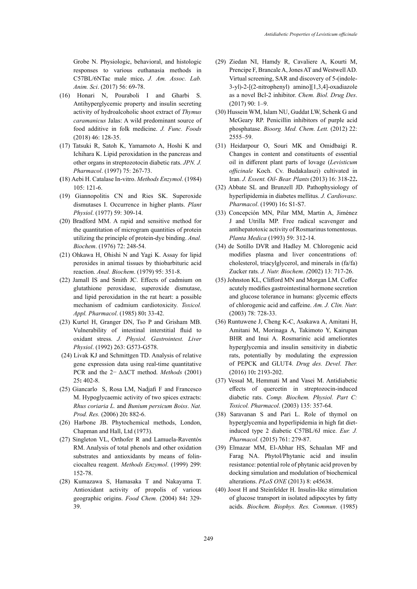Grobe N. Physiologic, behavioral, and histologic responses to various euthanasia methods in C57BL/6NTac male mice**.** *J. Am. Assoc. Lab. Anim. Sci*. (2017) 56: 69-78.

- (16) Honari N, Pouraboli I and Gharbi S. Antihyperglycemic property and insulin secreting activity of hydroalcoholic shoot extract of *Thymus caramanicus* Jalas: A wild predominant source of food additive in folk medicine. *J. Func. Foods* (2018) 46: 128-35.
- (17) Tatsuki R, Satoh K, Yamamoto A, Hoshi K and Ichihara K. Lipid peroxidation in the pancreas and other organs in streptozotocin diabetic rats. *JPN. J. Pharmacol*. (1997) 75: 267-73.
- **(**18) Aebi H. Catalase In-vitro. *Methods Enzymol*. (1984) 105: 121-6.
- (19) Giannopolitis CN and Ries SK. Superoxide dismutases I. Occurrence in higher plants. *Plant Physiol*. (1977) 59: 309-14.
- (20) Bradford MM. A rapid and sensitive method for the quantitation of microgram quantities of protein utilizing the principle of protein-dye binding. *Anal. Biochem*. (1976) 72: 248-54.
- (21) Ohkawa H, Ohishi N and Yagi K. Assay for lipid peroxides in animal tissues by thiobarbituric acid reaction. *Anal. Biochem*. (1979) 95: 351-8.
- (22) Jamall IS and Smith JC. Effects of cadmium on glutathione peroxidase, superoxide dismutase, and lipid peroxidation in the rat heart: a possible mechanism of cadmium cardiotoxicity. *Toxicol. Appl. Pharmacol*. (1985) 80**:** 33-42.
- (23) Kurtel H, Granger DN, Tso P and Grisham MB. Vulnerability of intestinal interstitial fluid to oxidant stress. *J. Physiol. Gastrointest. Liver Physiol*. (1992) 263: G573-G578.
- (24) Livak KJ and Schmittgen TD. Analysis of relative gene expression data using real-time quantitative PCR and the 2− ΔΔCT method. *Methods* (2001) 25**:** 402-8.
- (25) Giancarlo S, Rosa LM, Nadjafi F and Francesco M. Hypoglycaemic activity of two spices extracts: *Rhus coriaria L.* and *Bunium persicum Boiss*. *Nat. Prod. Res.* (2006) 20**:** 882-6.
- (26) Harbone JB. Phytochemical methods, London, Chapman and Hall, Ltd (1973).
- (27) Singleton VL, Orthofer R and Lamuela-Raventós RM. Analysis of total phenols and other oxidation substrates and antioxidants by means of folinciocalteu reagent. *Methods Enzymol*. (1999) 299: 152-78.
- (28) Kumazawa S, Hamasaka T and Nakayama T. Antioxidant activity of propolis of various geographic origins. *Food Chem.* (2004) 84**:** 329- 39.
- (29) Ziedan NI, Hamdy R, Cavaliere A, Kourti M, Prencipe F, Brancale A, Jones AT and Westwell AD. Virtual screening, SAR and discovery of 5-(indole-3-yl)-2-[(2-nitrophenyl) amino][1,3,4]-oxadiazole as a novel Bcl-2 inhibitor. *Chem. Biol. Drug Des*. (2017) 90: 1–9.
- (30) Hussein WM, Islam NU, Guddat LW, Schenk G and McGeary RP. Penicillin inhibitors of purple acid phosphatase. *Bioorg. Med. Chem. Lett.* (2012) 22: 2555–59.
- (31) Heidarpour O, Souri MK and Omidbaigi R. Changes in content and constituents of essential oil in different plant parts of lovage (*Levisticum officinale* Koch. Cv. Budakalaszi) cultivated in Iran. *J. Essent. Oil- Bear. Plants* (2013) 16: 318-22**.**
- (32) Abbate SL and Brunzell JD. Pathophysiology of hyperlipidemia in diabetes mellitus. *J. Cardiovasc. Pharmacol*. (1990) 16**:** S1-S7.
- (33) Concepción MN, Pilar MM, Martin A, Jiménez J and Utrilla MP. Free radical scavenger and antihepatotoxic activity of Rosmarinus tomentosus. *Planta Medica* (1993) 59: 312-14.
- (34) de Sotillo DVR and Hadley M. Chlorogenic acid modifies plasma and liver concentrations of: cholesterol, triacylglycerol, and minerals in (fa/fa) Zucker rats. *J. Nutr. Biochem*. *(*2002) 13: 717-26.
- (35) Johnston KL, Clifford MN and Morgan LM. Coffee acutely modifies gastrointestinal hormone secretion and glucose tolerance in humans: glycemic effects of chlorogenic acid and caffeine. *Am. J. Clin. Nutr.* (2003) 78: 728-33.
- (36) Runtuwene J, Cheng K-C, Asakawa A, Amitani H, Amitani M, Morinaga A, Takimoto Y, Kairupan BHR and Inui A. Rosmarinic acid ameliorates hyperglycemia and insulin sensitivity in diabetic rats, potentially by modulating the expression of PEPCK and GLUT4. *Drug des. Devel. Ther.* (2016) 10**:** 2193-202.
- (37) Vessal M, Hemmati M and Vasei M. Antidiabetic effects of quercetin in streptozocin-induced diabetic rats. *Comp. Biochem. Physiol. Part C: Toxicol. Pharmacol*. (2003) 135: 357-64.
- (38) Saravanan S and Pari L. Role of thymol on hyperglycemia and hyperlipidemia in high fat dietinduced type 2 diabetic C57BL/6J mice. *Eur. J. Pharmacol.* (2015) 761: 279-87.
- (39) Elmazar MM, El-Abhar HS, Schaalan MF and Farag NA. Phytol/Phytanic acid and insulin resistance: potential role of phytanic acid proven by docking simulation and modulation of biochemical alterations. *PLoS ONE* (2013) 8: e45638.
- (40) Joost H and Steinfelder H. Insulin-like stimulation of glucose transport in isolated adipocytes by fatty acids. *Biochem. Biophys. Res. Commun*. (1985)